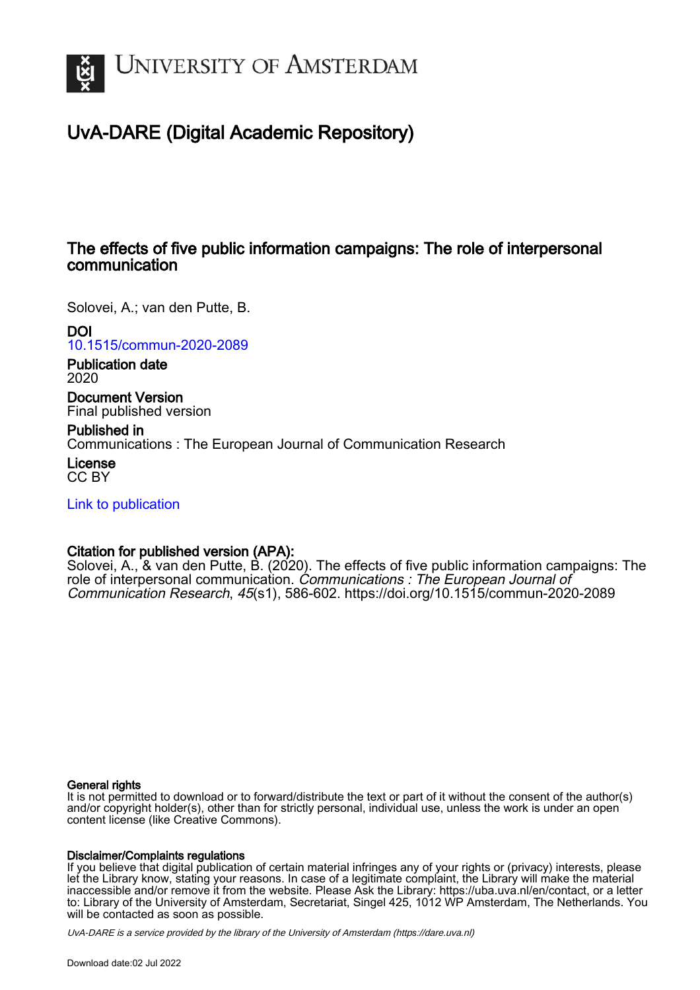

# UvA-DARE (Digital Academic Repository)

#### The effects of five public information campaigns: The role of interpersonal communication

Solovei, A.; van den Putte, B.

DOI

[10.1515/commun-2020-2089](https://doi.org/10.1515/commun-2020-2089)

Publication date 2020

Document Version Final published version

Published in Communications : The European Journal of Communication Research

License CC BY

[Link to publication](https://dare.uva.nl/personal/pure/en/publications/the-effects-of-five-public-information-campaigns-the-role-of-interpersonal-communication(7a48ab61-6cb8-4bff-970a-c91836ea73db).html)

#### Citation for published version (APA):

Solovei, A., & van den Putte, B. (2020). The effects of five public information campaigns: The role of interpersonal communication. Communications : The European Journal of Communication Research, 45(s1), 586-602. <https://doi.org/10.1515/commun-2020-2089>

#### General rights

It is not permitted to download or to forward/distribute the text or part of it without the consent of the author(s) and/or copyright holder(s), other than for strictly personal, individual use, unless the work is under an open content license (like Creative Commons).

#### Disclaimer/Complaints regulations

If you believe that digital publication of certain material infringes any of your rights or (privacy) interests, please let the Library know, stating your reasons. In case of a legitimate complaint, the Library will make the material inaccessible and/or remove it from the website. Please Ask the Library: https://uba.uva.nl/en/contact, or a letter to: Library of the University of Amsterdam, Secretariat, Singel 425, 1012 WP Amsterdam, The Netherlands. You will be contacted as soon as possible.

UvA-DARE is a service provided by the library of the University of Amsterdam (http*s*://dare.uva.nl)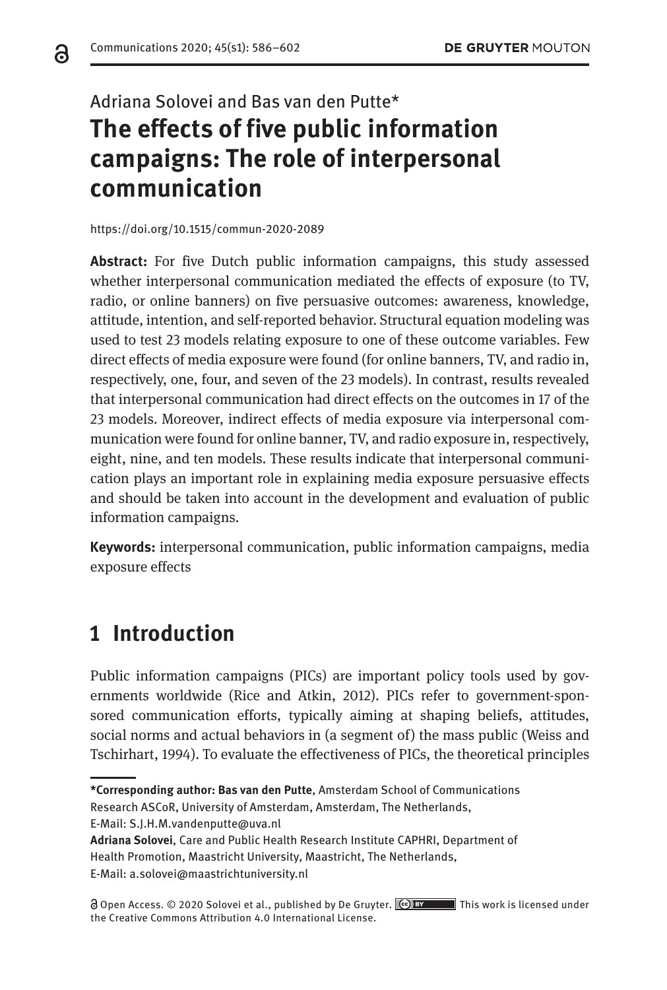# Adriana Solovei and Bas van den Putte\* **The effects of five public information campaigns: The role of interpersonal communication**

<https://doi.org/10.1515/commun-2020-2089>

**Abstract:** For five Dutch public information campaigns, this study assessed whether interpersonal communication mediated the effects of exposure (to TV, radio, or online banners) on five persuasive outcomes: awareness, knowledge, attitude, intention, and self-reported behavior. Structural equation modeling was used to test 23 models relating exposure to one of these outcome variables. Few direct effects of media exposure were found (for online banners, TV, and radio in, respectively, one, four, and seven of the 23 models). In contrast, results revealed that interpersonal communication had direct effects on the outcomes in 17 of the 23 models. Moreover, indirect effects of media exposure via interpersonal communication were found for online banner, TV, and radio exposure in, respectively, eight, nine, and ten models. These results indicate that interpersonal communication plays an important role in explaining media exposure persuasive effects and should be taken into account in the development and evaluation of public information campaigns.

**Keywords:** interpersonal communication, public information campaigns, media exposure effects

## **1 Introduction**

Public information campaigns (PICs) are important policy tools used by governments worldwide (Rice and Atkin, 2012). PICs refer to government-sponsored communication efforts, typically aiming at shaping beliefs, attitudes, social norms and actual behaviors in (a segment of) the mass public (Weiss and Tschirhart, 1994). To evaluate the effectiveness of PICs, the theoretical principles

E-Mail: [S.J.H.M.vandenputte@uva.nl](mailto:S.J.H.M.vandenputte@uva.nl)

ခ

**<sup>\*</sup>Corresponding author: Bas van den Putte**, Amsterdam School of Communications

Research ASCoR, University of Amsterdam, Amsterdam, The Netherlands,

**Adriana Solovei**, Care and Public Health Research Institute CAPHRI, Department of Health Promotion, Maastricht University, Maastricht, The Netherlands,

E-Mail: [a.solovei@maastrichtuniversity.nl](mailto:a.solovei@maastrichtuniversity.nl)

Open Access. © 2020 Solovei et al., published by De Gruyter. This work is licensed under the Creative Commons Attribution 4.0 International License.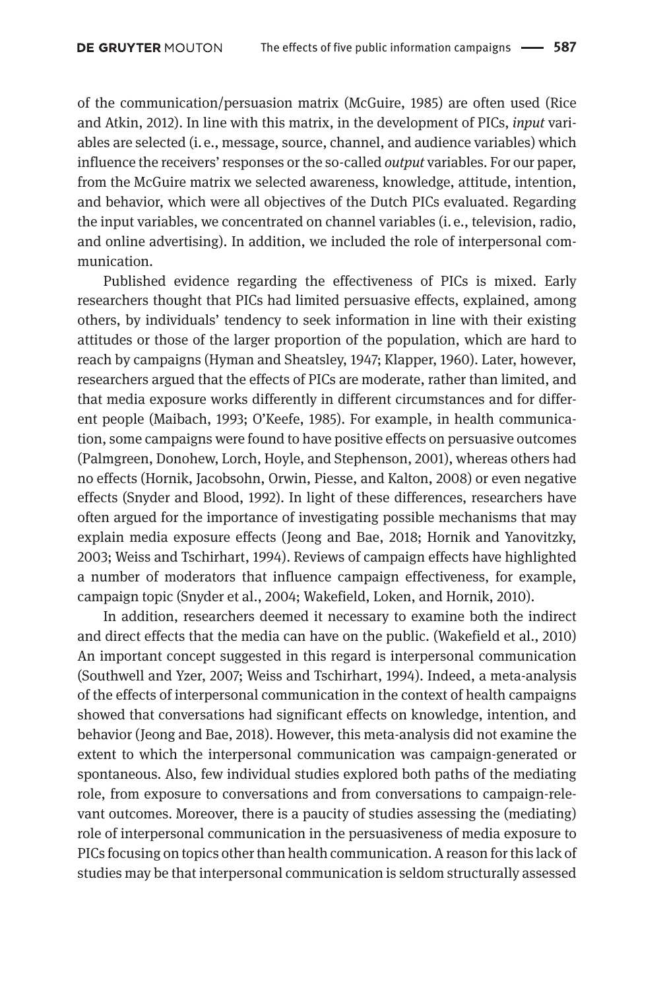of the communication/persuasion matrix (McGuire, 1985) are often used (Rice and Atkin, 2012). In line with this matrix, in the development of PICs, *input* variables are selected (i. e., message, source, channel, and audience variables) which influence the receivers' responses or the so-called *output* variables. For our paper, from the McGuire matrix we selected awareness, knowledge, attitude, intention, and behavior, which were all objectives of the Dutch PICs evaluated. Regarding the input variables, we concentrated on channel variables (i. e., television, radio, and online advertising). In addition, we included the role of interpersonal communication.

Published evidence regarding the effectiveness of PICs is mixed. Early researchers thought that PICs had limited persuasive effects, explained, among others, by individuals' tendency to seek information in line with their existing attitudes or those of the larger proportion of the population, which are hard to reach by campaigns (Hyman and Sheatsley, 1947; Klapper, 1960). Later, however, researchers argued that the effects of PICs are moderate, rather than limited, and that media exposure works differently in different circumstances and for different people (Maibach, 1993; O'Keefe, 1985). For example, in health communication, some campaigns were found to have positive effects on persuasive outcomes (Palmgreen, Donohew, Lorch, Hoyle, and Stephenson, 2001), whereas others had no effects (Hornik, Jacobsohn, Orwin, Piesse, and Kalton, 2008) or even negative effects (Snyder and Blood, 1992). In light of these differences, researchers have often argued for the importance of investigating possible mechanisms that may explain media exposure effects (Jeong and Bae, 2018; Hornik and Yanovitzky, 2003; Weiss and Tschirhart, 1994). Reviews of campaign effects have highlighted a number of moderators that influence campaign effectiveness, for example, campaign topic (Snyder et al., 2004; Wakefield, Loken, and Hornik, 2010).

In addition, researchers deemed it necessary to examine both the indirect and direct effects that the media can have on the public. (Wakefield et al., 2010) An important concept suggested in this regard is interpersonal communication (Southwell and Yzer, 2007; Weiss and Tschirhart, 1994). Indeed, a meta-analysis of the effects of interpersonal communication in the context of health campaigns showed that conversations had significant effects on knowledge, intention, and behavior (Jeong and Bae, 2018). However, this meta-analysis did not examine the extent to which the interpersonal communication was campaign-generated or spontaneous. Also, few individual studies explored both paths of the mediating role, from exposure to conversations and from conversations to campaign-relevant outcomes. Moreover, there is a paucity of studies assessing the (mediating) role of interpersonal communication in the persuasiveness of media exposure to PICs focusing on topics other than health communication. A reason for this lack of studies may be that interpersonal communication is seldom structurally assessed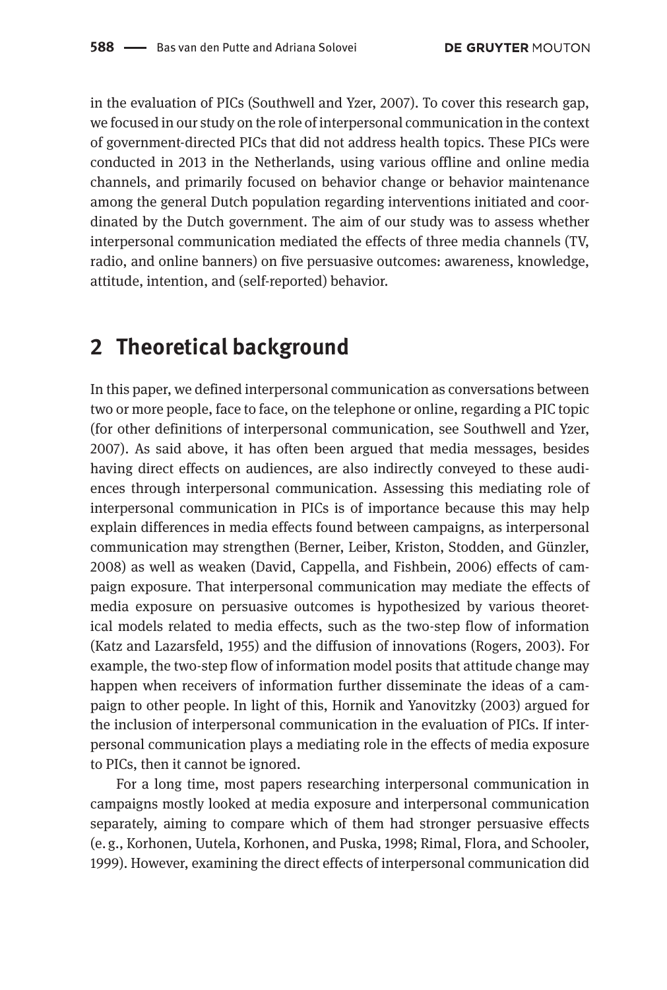in the evaluation of PICs (Southwell and Yzer, 2007). To cover this research gap, we focused in our study on the role of interpersonal communication in the context of government-directed PICs that did not address health topics. These PICs were conducted in 2013 in the Netherlands, using various offline and online media channels, and primarily focused on behavior change or behavior maintenance among the general Dutch population regarding interventions initiated and coordinated by the Dutch government. The aim of our study was to assess whether interpersonal communication mediated the effects of three media channels (TV, radio, and online banners) on five persuasive outcomes: awareness, knowledge, attitude, intention, and (self-reported) behavior.

### **2 Theoretical background**

In this paper, we defined interpersonal communication as conversations between two or more people, face to face, on the telephone or online, regarding a PIC topic (for other definitions of interpersonal communication, see Southwell and Yzer, 2007). As said above, it has often been argued that media messages, besides having direct effects on audiences, are also indirectly conveyed to these audiences through interpersonal communication. Assessing this mediating role of interpersonal communication in PICs is of importance because this may help explain differences in media effects found between campaigns, as interpersonal communication may strengthen (Berner, Leiber, Kriston, Stodden, and Günzler, 2008) as well as weaken (David, Cappella, and Fishbein, 2006) effects of campaign exposure. That interpersonal communication may mediate the effects of media exposure on persuasive outcomes is hypothesized by various theoretical models related to media effects, such as the two-step flow of information (Katz and Lazarsfeld, 1955) and the diffusion of innovations (Rogers, 2003). For example, the two-step flow of information model posits that attitude change may happen when receivers of information further disseminate the ideas of a campaign to other people. In light of this, Hornik and Yanovitzky (2003) argued for the inclusion of interpersonal communication in the evaluation of PICs. If interpersonal communication plays a mediating role in the effects of media exposure to PICs, then it cannot be ignored.

For a long time, most papers researching interpersonal communication in campaigns mostly looked at media exposure and interpersonal communication separately, aiming to compare which of them had stronger persuasive effects (e. g., Korhonen, Uutela, Korhonen, and Puska, 1998; Rimal, Flora, and Schooler, 1999). However, examining the direct effects of interpersonal communication did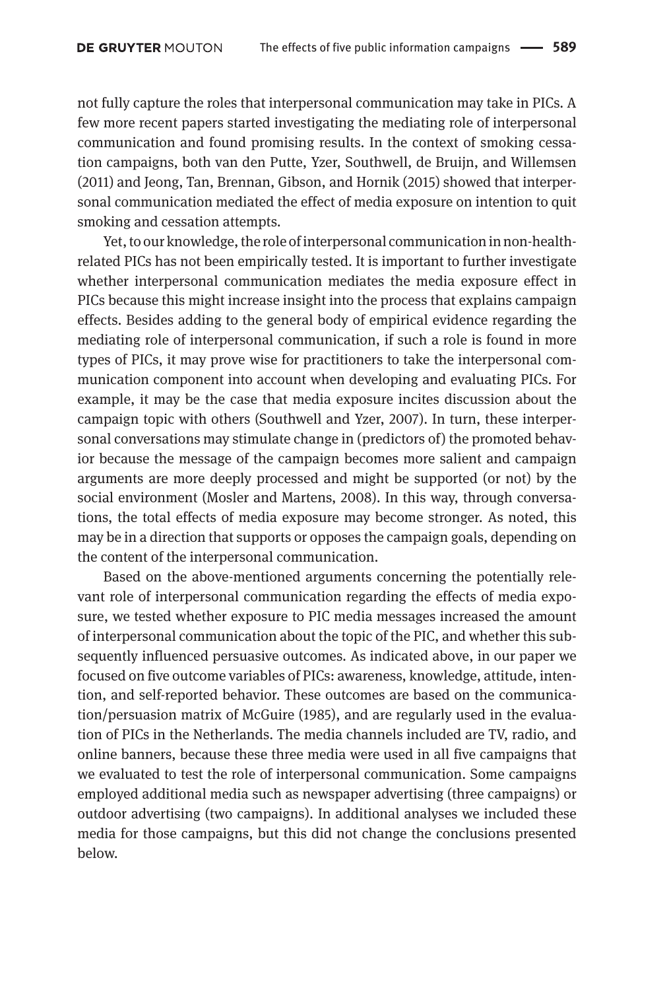not fully capture the roles that interpersonal communication may take in PICs. A few more recent papers started investigating the mediating role of interpersonal communication and found promising results. In the context of smoking cessation campaigns, both van den Putte, Yzer, Southwell, de Bruijn, and Willemsen (2011) and Jeong, Tan, Brennan, Gibson, and Hornik (2015) showed that interpersonal communication mediated the effect of media exposure on intention to quit smoking and cessation attempts.

Yet, to our knowledge, the role of interpersonal communication in non-healthrelated PICs has not been empirically tested. It is important to further investigate whether interpersonal communication mediates the media exposure effect in PICs because this might increase insight into the process that explains campaign effects. Besides adding to the general body of empirical evidence regarding the mediating role of interpersonal communication, if such a role is found in more types of PICs, it may prove wise for practitioners to take the interpersonal communication component into account when developing and evaluating PICs. For example, it may be the case that media exposure incites discussion about the campaign topic with others (Southwell and Yzer, 2007). In turn, these interpersonal conversations may stimulate change in (predictors of) the promoted behavior because the message of the campaign becomes more salient and campaign arguments are more deeply processed and might be supported (or not) by the social environment (Mosler and Martens, 2008). In this way, through conversations, the total effects of media exposure may become stronger. As noted, this may be in a direction that supports or opposes the campaign goals, depending on the content of the interpersonal communication.

Based on the above-mentioned arguments concerning the potentially relevant role of interpersonal communication regarding the effects of media exposure, we tested whether exposure to PIC media messages increased the amount of interpersonal communication about the topic of the PIC, and whether this subsequently influenced persuasive outcomes. As indicated above, in our paper we focused on five outcome variables of PICs: awareness, knowledge, attitude, intention, and self-reported behavior. These outcomes are based on the communication/persuasion matrix of McGuire (1985), and are regularly used in the evaluation of PICs in the Netherlands. The media channels included are TV, radio, and online banners, because these three media were used in all five campaigns that we evaluated to test the role of interpersonal communication. Some campaigns employed additional media such as newspaper advertising (three campaigns) or outdoor advertising (two campaigns). In additional analyses we included these media for those campaigns, but this did not change the conclusions presented below.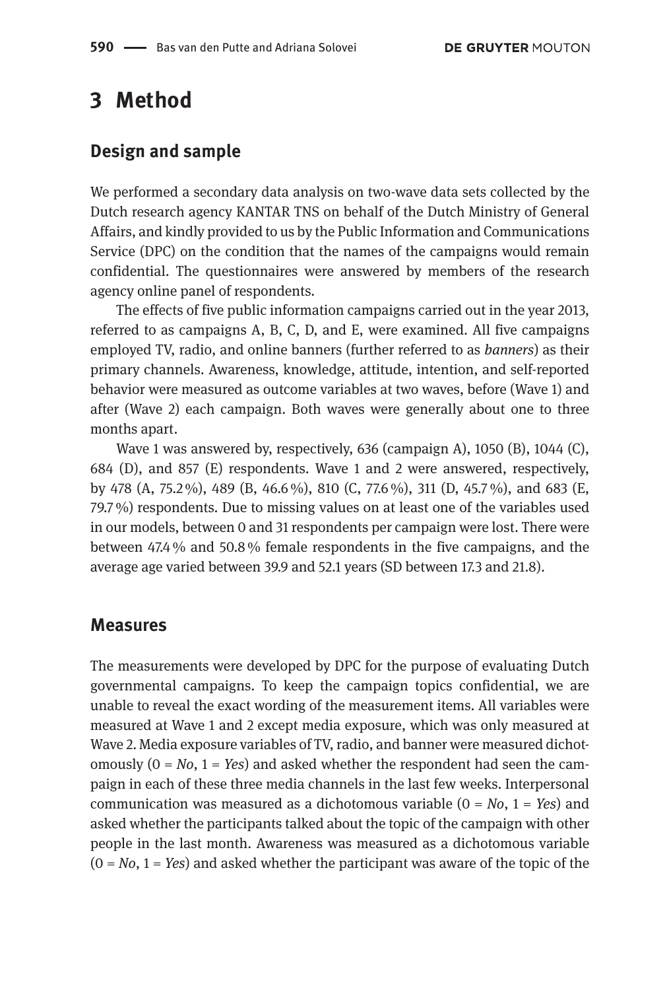### **3 Method**

#### **Design and sample**

We performed a secondary data analysis on two-wave data sets collected by the Dutch research agency KANTAR TNS on behalf of the Dutch Ministry of General Affairs, and kindly provided to us by the Public Information and Communications Service (DPC) on the condition that the names of the campaigns would remain confidential. The questionnaires were answered by members of the research agency online panel of respondents.

The effects of five public information campaigns carried out in the year 2013, referred to as campaigns A, B, C, D, and E, were examined. All five campaigns employed TV, radio, and online banners (further referred to as *banners*) as their primary channels. Awareness, knowledge, attitude, intention, and self-reported behavior were measured as outcome variables at two waves, before (Wave 1) and after (Wave 2) each campaign. Both waves were generally about one to three months apart.

Wave 1 was answered by, respectively, 636 (campaign A), 1050 (B), 1044 (C), 684 (D), and 857 (E) respondents. Wave 1 and 2 were answered, respectively, by 478 (A, 75.2 %), 489 (B, 46.6 %), 810 (C, 77.6 %), 311 (D, 45.7 %), and 683 (E, 79.7 %) respondents. Due to missing values on at least one of the variables used in our models, between 0 and 31 respondents per campaign were lost. There were between 47.4 % and 50.8 % female respondents in the five campaigns, and the average age varied between 39.9 and 52.1 years (SD between 17.3 and 21.8).

#### **Measures**

The measurements were developed by DPC for the purpose of evaluating Dutch governmental campaigns. To keep the campaign topics confidential, we are unable to reveal the exact wording of the measurement items. All variables were measured at Wave 1 and 2 except media exposure, which was only measured at Wave 2. Media exposure variables of TV, radio, and banner were measured dichotomously  $(0 = No, 1 = Yes)$  and asked whether the respondent had seen the campaign in each of these three media channels in the last few weeks. Interpersonal communication was measured as a dichotomous variable (0 = *No*, 1 = *Yes*) and asked whether the participants talked about the topic of the campaign with other people in the last month. Awareness was measured as a dichotomous variable (0 = *No*, 1 = *Yes*) and asked whether the participant was aware of the topic of the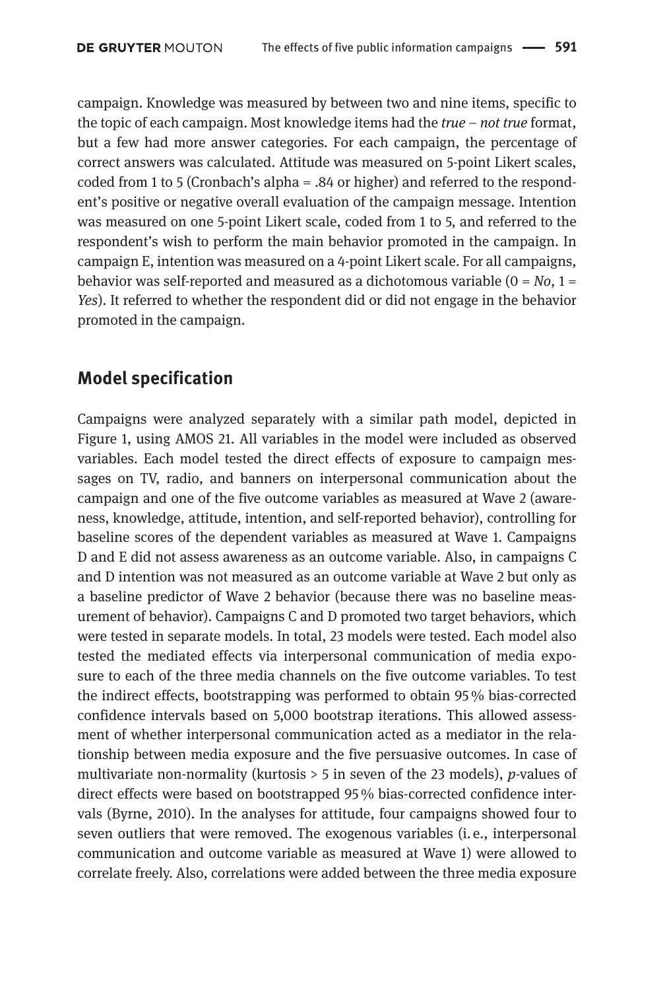campaign. Knowledge was measured by between two and nine items, specific to the topic of each campaign. Most knowledge items had the *true* – *not true* format, but a few had more answer categories. For each campaign, the percentage of correct answers was calculated. Attitude was measured on 5-point Likert scales, coded from 1 to 5 (Cronbach's alpha = .84 or higher) and referred to the respondent's positive or negative overall evaluation of the campaign message. Intention was measured on one 5-point Likert scale, coded from 1 to 5, and referred to the respondent's wish to perform the main behavior promoted in the campaign. In campaign E, intention was measured on a 4-point Likert scale. For all campaigns, behavior was self-reported and measured as a dichotomous variable  $(0 = No, 1 =$ *Yes*). It referred to whether the respondent did or did not engage in the behavior promoted in the campaign.

#### **Model specification**

Campaigns were analyzed separately with a similar path model, depicted in Figure 1, using AMOS 21. All variables in the model were included as observed variables. Each model tested the direct effects of exposure to campaign messages on TV, radio, and banners on interpersonal communication about the campaign and one of the five outcome variables as measured at Wave 2 (awareness, knowledge, attitude, intention, and self-reported behavior), controlling for baseline scores of the dependent variables as measured at Wave 1. Campaigns D and E did not assess awareness as an outcome variable. Also, in campaigns C and D intention was not measured as an outcome variable at Wave 2 but only as a baseline predictor of Wave 2 behavior (because there was no baseline measurement of behavior). Campaigns C and D promoted two target behaviors, which were tested in separate models. In total, 23 models were tested. Each model also tested the mediated effects via interpersonal communication of media exposure to each of the three media channels on the five outcome variables. To test the indirect effects, bootstrapping was performed to obtain 95 % bias-corrected confidence intervals based on 5,000 bootstrap iterations. This allowed assessment of whether interpersonal communication acted as a mediator in the relationship between media exposure and the five persuasive outcomes. In case of multivariate non-normality (kurtosis > 5 in seven of the 23 models), *p*-values of direct effects were based on bootstrapped 95 % bias-corrected confidence intervals (Byrne, 2010). In the analyses for attitude, four campaigns showed four to seven outliers that were removed. The exogenous variables (i. e., interpersonal communication and outcome variable as measured at Wave 1) were allowed to correlate freely. Also, correlations were added between the three media exposure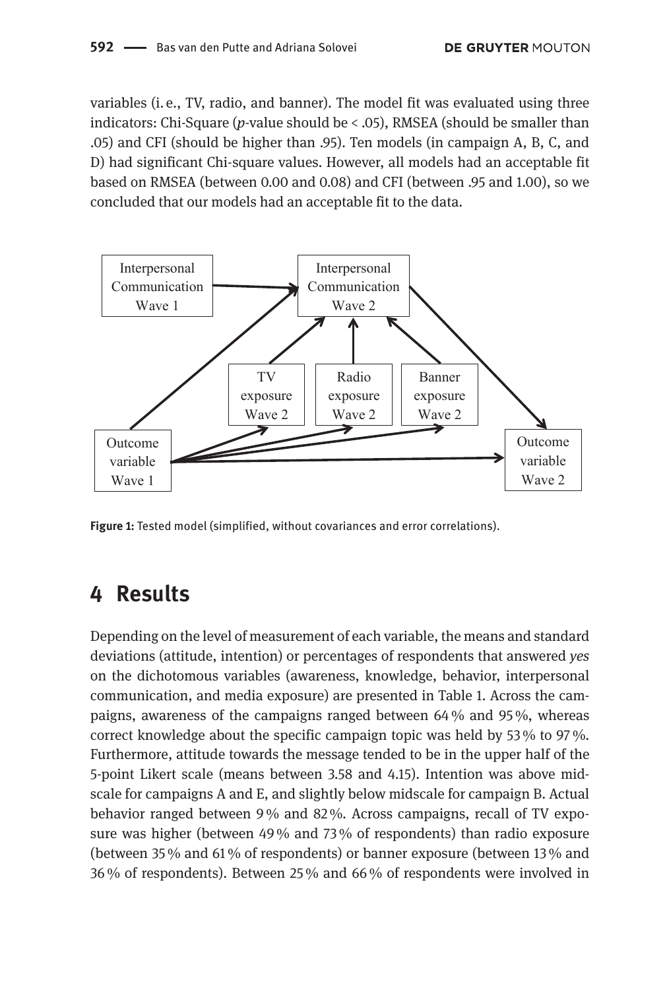variables (i. e., TV, radio, and banner). The model fit was evaluated using three indicators: Chi-Square (*p*-value should be < .05), RMSEA (should be smaller than .05) and CFI (should be higher than .95). Ten models (in campaign A, B, C, and D) had significant Chi-square values. However, all models had an acceptable fit based on RMSEA (between 0.00 and 0.08) and CFI (between .95 and 1.00), so we concluded that our models had an acceptable fit to the data.



**Figure 1:** Tested model (simplified, without covariances and error correlations).

## **4 Results**

Depending on the level of measurement of each variable, the means and standard deviations (attitude, intention) or percentages of respondents that answered *yes* on the dichotomous variables (awareness, knowledge, behavior, interpersonal communication, and media exposure) are presented in Table 1. Across the campaigns, awareness of the campaigns ranged between 64 % and 95 %, whereas correct knowledge about the specific campaign topic was held by 53 % to 97 %. Furthermore, attitude towards the message tended to be in the upper half of the 5-point Likert scale (means between 3.58 and 4.15). Intention was above midscale for campaigns A and E, and slightly below midscale for campaign B. Actual behavior ranged between 9 % and 82 %. Across campaigns, recall of TV exposure was higher (between 49 % and 73 % of respondents) than radio exposure (between 35 % and 61 % of respondents) or banner exposure (between 13 % and 36 % of respondents). Between 25 % and 66 % of respondents were involved in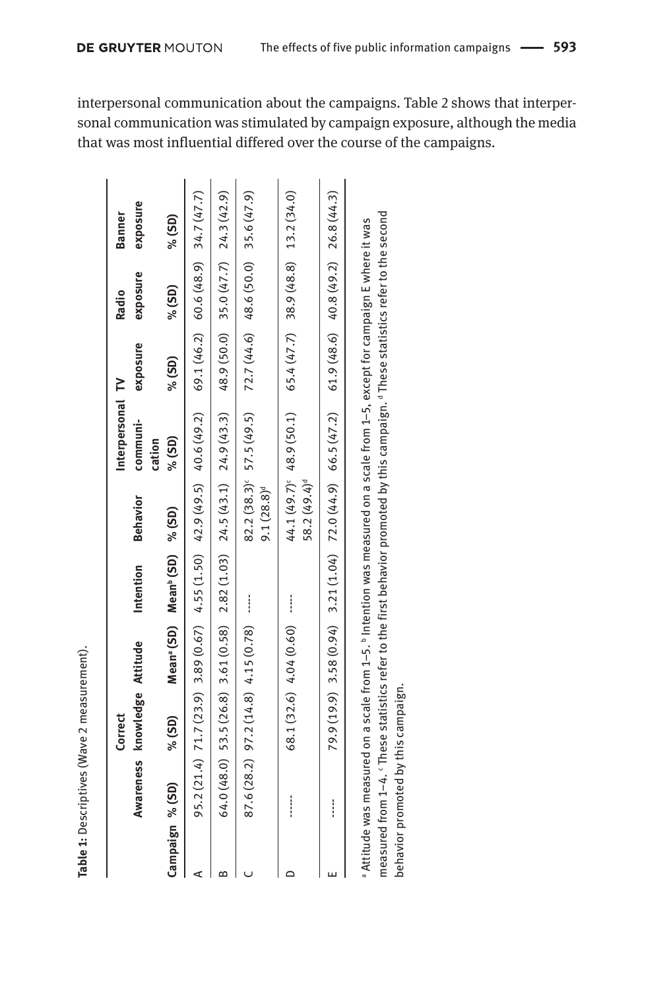interpersonal communication about the campaigns. Table 2 shows that interpersonal communication was stimulated by campaign exposure, although the media that was most influential differed over the course of the campaigns.

|                 |           | Correct            |                                     |                                                      |                          | Interpersonal TV                                                                                                                         |          | Radio                               | <b>Banner</b> |
|-----------------|-----------|--------------------|-------------------------------------|------------------------------------------------------|--------------------------|------------------------------------------------------------------------------------------------------------------------------------------|----------|-------------------------------------|---------------|
|                 | Awareness | knowledge Attitude |                                     | Intention                                            | <b>Behavior</b>          | communi-<br>cation                                                                                                                       | exposure | exposure                            | exposure      |
| Campaign % (SD) |           | $%$ (SD)           |                                     | Mean <sup>a</sup> (SD) Mean <sup>b</sup> (SD) % (SD) |                          | % (SD)                                                                                                                                   | $%$ (SD) | $%$ (SD)                            | $%$ (SD)      |
|                 |           |                    |                                     |                                                      |                          | 95.2 (21.4) 71.7 (23.9) 3.89 (0.67) 4.55 (1.50) 42.9 (49.5) 40.6 (49.2) 60.6 (48.2) 60.6 (48.9) 34.7 (47.7)                              |          |                                     |               |
| m               |           |                    |                                     |                                                      |                          | 64.0 (48.0) 53.5 (26.8) 3.61 (0.58) 2.82 (1.03) 24.5 (43.1) 24.9 (43.3) 48.9 (50.0) 35.0 (47.7) 24.3 (42.9)                              |          |                                     |               |
|                 |           |                    | 87.6 (28.2) 97.2 (14.8) 4.15 (0.78) | ļ                                                    | $9.1(28.8)$ <sup>d</sup> | $82.2(38.3)^e$ 57.5 (49.5)                                                                                                               |          | 72.7 (44.6) 48.6 (50.0) 35.6 (47.9) |               |
|                 |           |                    | 68.1 (32.6) 4.04 (0.60)             |                                                      | 58.2 (49.4) <sup>d</sup> | $44.1(49.7)^{c}$ 48.9 (50.1) 65.4 (47.7) 38.9 (48.8) 13.2 (34.0)                                                                         |          |                                     |               |
|                 |           |                    |                                     |                                                      |                          | $(2,9,0)$ 3.58 $(0.94)$ 3.21 $(1.04)$ 72.0 $(44.9)$ 66.5 $(47.2)$ 61.9 $(40.8.6)$ 40.8 $(49.2)$ 26.8 $(44.3)$                            |          |                                     |               |
|                 |           |                    |                                     |                                                      |                          | a Attitude was measured on a scale from 1–5. <sup>b</sup> Intention was measured on a scale from 1–5, except for campaign E where it was |          |                                     |               |

Table 1: Descriptives (Wave 2 measurement).

measured from 1–4. c These statistics refer to the first behavior promoted by this campaign. d These statistics refer to the second measured from 1-4. 'These statistics refer to the first behavior promoted by this campaign. <sup>d</sup> These statistics refer to the second behavior promoted by this campaign. behavior promoted by this campaign.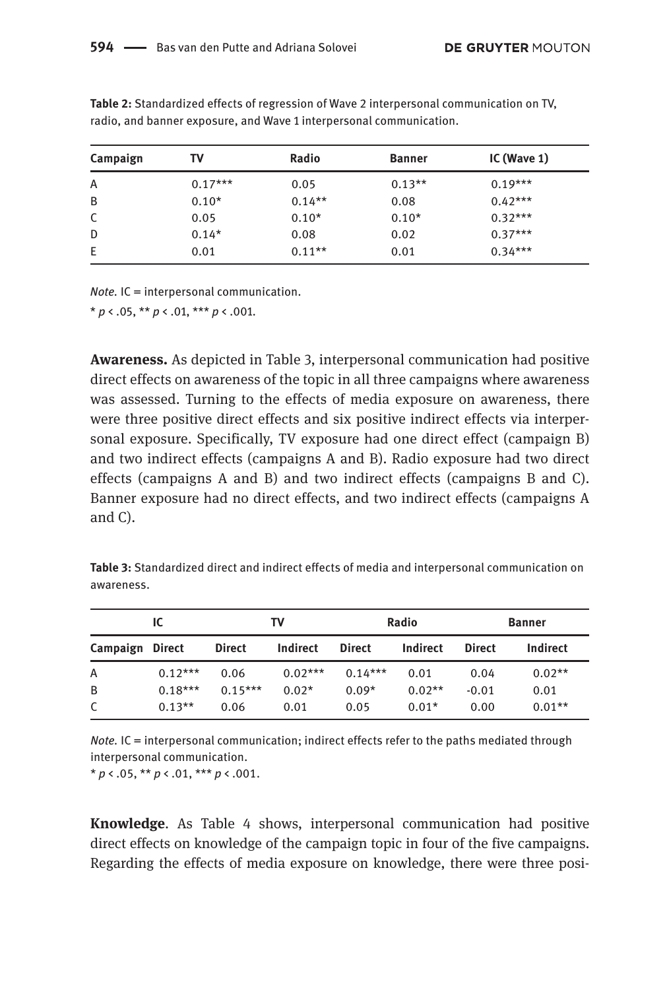| Campaign | т٧        | Radio    | <b>Banner</b> | IC (Wave $1$ ) |
|----------|-----------|----------|---------------|----------------|
| A        | $0.17***$ | 0.05     | $0.13**$      | $0.19***$      |
| B        | $0.10*$   | $0.14**$ | 0.08          | $0.42***$      |
| C        | 0.05      | $0.10*$  | $0.10*$       | $0.32***$      |
| D        | $0.14*$   | 0.08     | 0.02          | $0.37***$      |
| Ε        | 0.01      | $0.11**$ | 0.01          | $0.34***$      |

**Table 2:** Standardized effects of regression of Wave 2 interpersonal communication on TV, radio, and banner exposure, and Wave 1 interpersonal communication.

*Note.* IC = interpersonal communication.

 $* p \lt 0.05$ ,  $** p \lt 0.01$ ,  $*** p \lt 0.001$ .

**Awareness.** As depicted in Table 3, interpersonal communication had positive direct effects on awareness of the topic in all three campaigns where awareness was assessed. Turning to the effects of media exposure on awareness, there were three positive direct effects and six positive indirect effects via interpersonal exposure. Specifically, TV exposure had one direct effect (campaign B) and two indirect effects (campaigns A and B). Radio exposure had two direct effects (campaigns A and B) and two indirect effects (campaigns B and C). Banner exposure had no direct effects, and two indirect effects (campaigns A and C).

**Table 3:** Standardized direct and indirect effects of media and interpersonal communication on awareness.

|                 | IC.       |               | т٧        |               | Radio    |               | <b>Banner</b> |
|-----------------|-----------|---------------|-----------|---------------|----------|---------------|---------------|
| Campaign Direct |           | <b>Direct</b> | Indirect  | <b>Direct</b> | Indirect | <b>Direct</b> | Indirect      |
| Α               | $0.12***$ | 0.06          | $0.02***$ | $0.14***$     | 0.01     | 0.04          | $0.02**$      |
| B               | $0.18***$ | $0.15***$     | $0.02*$   | $0.09*$       | $0.02**$ | $-0.01$       | 0.01          |
| C               | $0.13**$  | 0.06          | 0.01      | 0.05          | $0.01*$  | 0.00          | $0.01**$      |

*Note.* IC = interpersonal communication; indirect effects refer to the paths mediated through interpersonal communication.

 $* p \lt .05$ ,  $** p \lt .01$ ,  $*** p \lt .001$ .

**Knowledge**. As Table 4 shows, interpersonal communication had positive direct effects on knowledge of the campaign topic in four of the five campaigns. Regarding the effects of media exposure on knowledge, there were three posi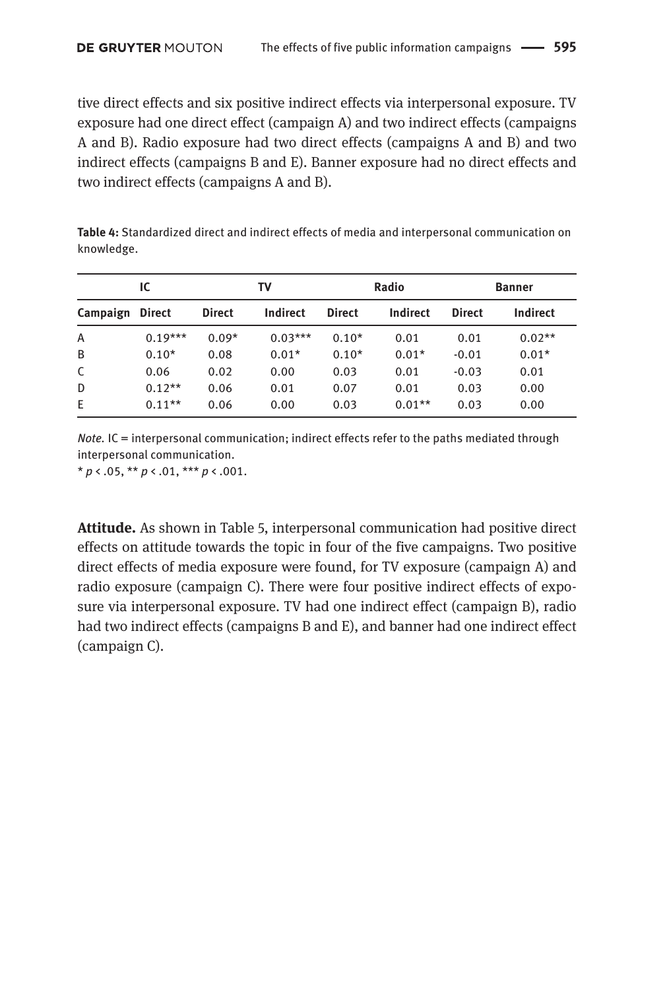tive direct effects and six positive indirect effects via interpersonal exposure. TV exposure had one direct effect (campaign A) and two indirect effects (campaigns A and B). Radio exposure had two direct effects (campaigns A and B) and two indirect effects (campaigns B and E). Banner exposure had no direct effects and two indirect effects (campaigns A and B).

| <b>Table 4:</b> Standardized direct and indirect effects of media and interpersonal communication on |
|------------------------------------------------------------------------------------------------------|
| knowledge.                                                                                           |

|                 | IC        |               | т٧        |               | Radio    |               | <b>Banner</b> |
|-----------------|-----------|---------------|-----------|---------------|----------|---------------|---------------|
| Campaign Direct |           | <b>Direct</b> | Indirect  | <b>Direct</b> | Indirect | <b>Direct</b> | Indirect      |
| A               | $0.19***$ | $0.09*$       | $0.03***$ | $0.10*$       | 0.01     | 0.01          | $0.02**$      |
| B               | $0.10*$   | 0.08          | $0.01*$   | $0.10*$       | $0.01*$  | $-0.01$       | $0.01*$       |
| C               | 0.06      | 0.02          | 0.00      | 0.03          | 0.01     | $-0.03$       | 0.01          |
| D               | $0.12**$  | 0.06          | 0.01      | 0.07          | 0.01     | 0.03          | 0.00          |
| E               | $0.11**$  | 0.06          | 0.00      | 0.03          | $0.01**$ | 0.03          | 0.00          |

*Note.* IC = interpersonal communication; indirect effects refer to the paths mediated through interpersonal communication.

 $* p \lt .05$ ,  $** p \lt .01$ ,  $*** p \lt .001$ .

**Attitude.** As shown in Table 5, interpersonal communication had positive direct effects on attitude towards the topic in four of the five campaigns. Two positive direct effects of media exposure were found, for TV exposure (campaign A) and radio exposure (campaign C). There were four positive indirect effects of exposure via interpersonal exposure. TV had one indirect effect (campaign B), radio had two indirect effects (campaigns B and E), and banner had one indirect effect (campaign C).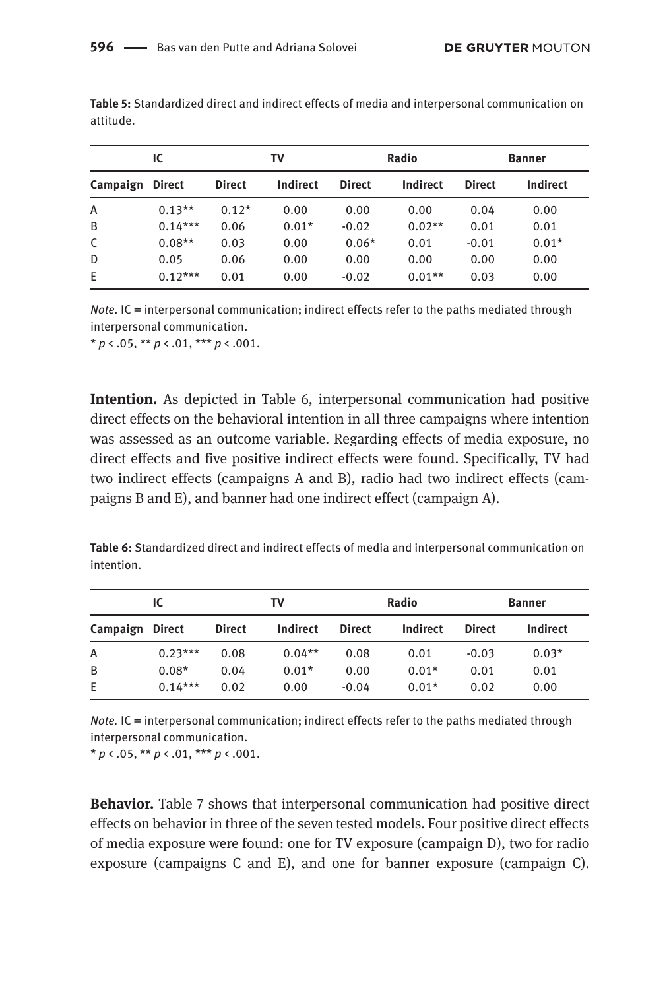|                 | IC.       |               | TV       |               | Radio    |               | <b>Banner</b> |
|-----------------|-----------|---------------|----------|---------------|----------|---------------|---------------|
| Campaign Direct |           | <b>Direct</b> | Indirect | <b>Direct</b> | Indirect | <b>Direct</b> | Indirect      |
| A               | $0.13**$  | $0.12*$       | 0.00     | 0.00          | 0.00     | 0.04          | 0.00          |
| B               | $0.14***$ | 0.06          | $0.01*$  | $-0.02$       | $0.02**$ | 0.01          | 0.01          |
| C               | $0.08**$  | 0.03          | 0.00     | $0.06*$       | 0.01     | $-0.01$       | $0.01*$       |
| D               | 0.05      | 0.06          | 0.00     | 0.00          | 0.00     | 0.00          | 0.00          |
| E               | $0.12***$ | 0.01          | 0.00     | $-0.02$       | $0.01**$ | 0.03          | 0.00          |

**Table 5:** Standardized direct and indirect effects of media and interpersonal communication on attitude.

*Note.* IC = interpersonal communication; indirect effects refer to the paths mediated through interpersonal communication.

\* *p* < .05, \*\* *p* < .01, \*\*\* *p* < .001.

**Intention.** As depicted in Table 6, interpersonal communication had positive direct effects on the behavioral intention in all three campaigns where intention was assessed as an outcome variable. Regarding effects of media exposure, no direct effects and five positive indirect effects were found. Specifically, TV had two indirect effects (campaigns A and B), radio had two indirect effects (campaigns B and E), and banner had one indirect effect (campaign A).

**Table 6:** Standardized direct and indirect effects of media and interpersonal communication on intention.

|                 | IC        |               | т٧       |               | Radio    |               | <b>Banner</b> |
|-----------------|-----------|---------------|----------|---------------|----------|---------------|---------------|
| Campaign Direct |           | <b>Direct</b> | Indirect | <b>Direct</b> | Indirect | <b>Direct</b> | Indirect      |
| Α               | $0.23***$ | 0.08          | $0.04**$ | 0.08          | 0.01     | $-0.03$       | $0.03*$       |
| B               | $0.08*$   | 0.04          | $0.01*$  | 0.00          | $0.01*$  | 0.01          | 0.01          |
| E.              | $0.14***$ | 0.02          | 0.00     | $-0.04$       | $0.01*$  | 0.02          | 0.00          |

*Note.* IC = interpersonal communication; indirect effects refer to the paths mediated through interpersonal communication.

 $* p \lt 0.05$ ,  $** p \lt 0.01$ ,  $*** p \lt 0.001$ .

**Behavior.** Table 7 shows that interpersonal communication had positive direct effects on behavior in three of the seven tested models. Four positive direct effects of media exposure were found: one for TV exposure (campaign D), two for radio exposure (campaigns C and E), and one for banner exposure (campaign C).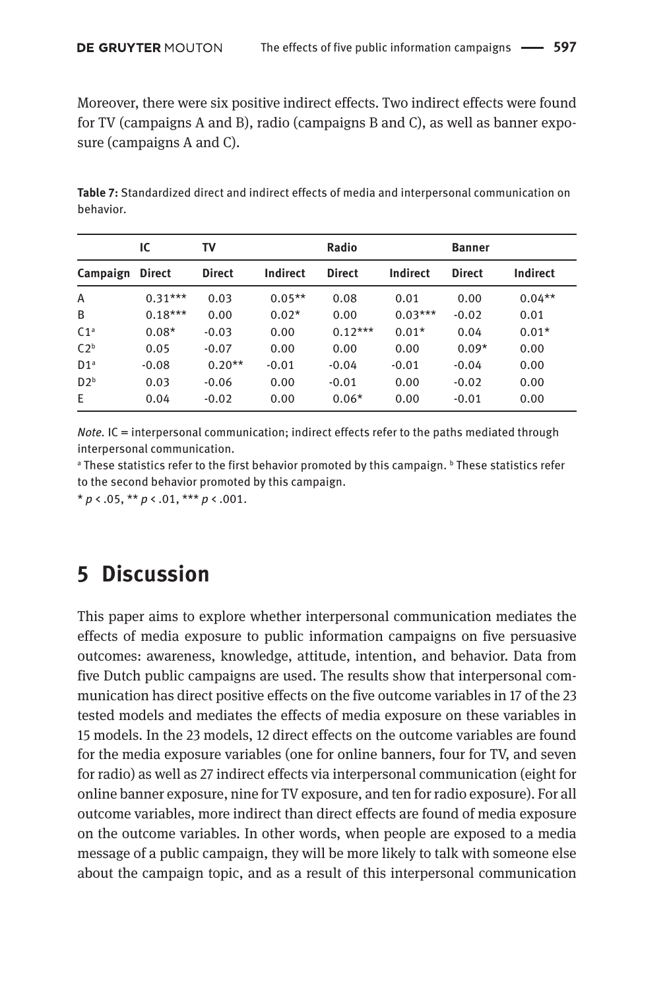Moreover, there were six positive indirect effects. Two indirect effects were found for TV (campaigns A and B), radio (campaigns B and C), as well as banner exposure (campaigns A and C).

**Table 7:** Standardized direct and indirect effects of media and interpersonal communication on behavior.

|                 | IС            | т٧            |                 | Radio         |           | <b>Banner</b> |                 |
|-----------------|---------------|---------------|-----------------|---------------|-----------|---------------|-----------------|
| Campaign        | <b>Direct</b> | <b>Direct</b> | <b>Indirect</b> | <b>Direct</b> | Indirect  | <b>Direct</b> | <b>Indirect</b> |
| A               | $0.31***$     | 0.03          | $0.05**$        | 0.08          | 0.01      | 0.00          | $0.04***$       |
| B               | $0.18***$     | 0.00          | $0.02*$         | 0.00          | $0.03***$ | $-0.02$       | 0.01            |
| C1 <sup>a</sup> | $0.08*$       | $-0.03$       | 0.00            | $0.12***$     | $0.01*$   | 0.04          | $0.01*$         |
| C2 <sup>b</sup> | 0.05          | $-0.07$       | 0.00            | 0.00          | 0.00      | $0.09*$       | 0.00            |
| D1 <sup>a</sup> | $-0.08$       | $0.20**$      | $-0.01$         | $-0.04$       | $-0.01$   | $-0.04$       | 0.00            |
| D2 <sup>b</sup> | 0.03          | $-0.06$       | 0.00            | $-0.01$       | 0.00      | $-0.02$       | 0.00            |
| E               | 0.04          | $-0.02$       | 0.00            | $0.06*$       | 0.00      | $-0.01$       | 0.00            |

*Note*. IC = interpersonal communication; indirect effects refer to the paths mediated through interpersonal communication.

<sup>a</sup> These statistics refer to the first behavior promoted by this campaign. <sup>b</sup> These statistics refer to the second behavior promoted by this campaign.

 $* p \lt .05$ ,  $** p \lt .01$ ,  $*** p \lt .001$ .

### **5 Discussion**

This paper aims to explore whether interpersonal communication mediates the effects of media exposure to public information campaigns on five persuasive outcomes: awareness, knowledge, attitude, intention, and behavior. Data from five Dutch public campaigns are used. The results show that interpersonal communication has direct positive effects on the five outcome variables in 17 of the 23 tested models and mediates the effects of media exposure on these variables in 15 models. In the 23 models, 12 direct effects on the outcome variables are found for the media exposure variables (one for online banners, four for TV, and seven for radio) as well as 27 indirect effects via interpersonal communication (eight for online banner exposure, nine for TV exposure, and ten for radio exposure). For all outcome variables, more indirect than direct effects are found of media exposure on the outcome variables. In other words, when people are exposed to a media message of a public campaign, they will be more likely to talk with someone else about the campaign topic, and as a result of this interpersonal communication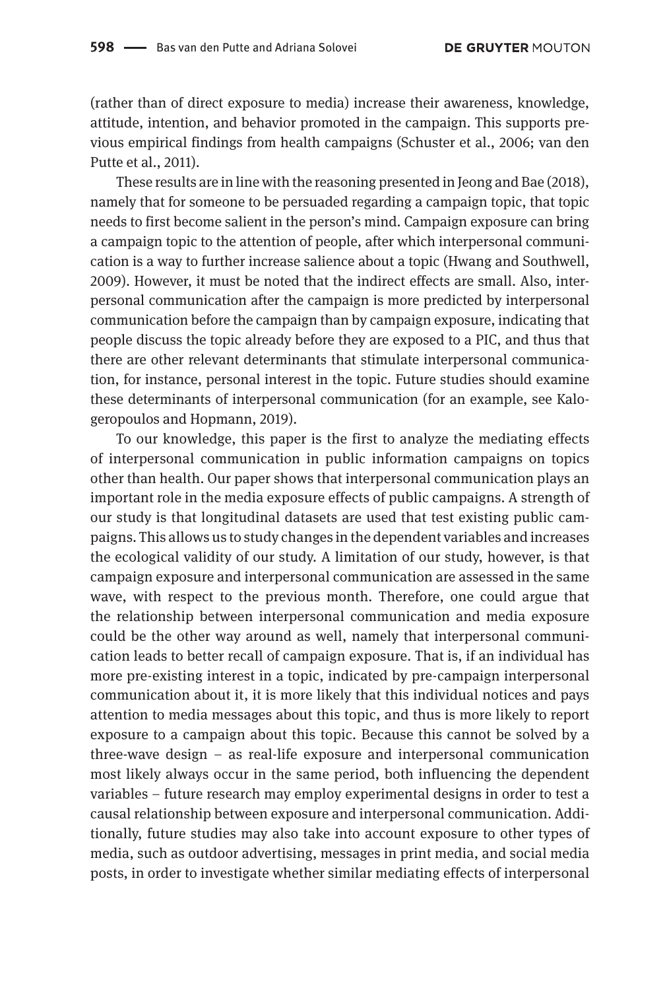(rather than of direct exposure to media) increase their awareness, knowledge, attitude, intention, and behavior promoted in the campaign. This supports previous empirical findings from health campaigns (Schuster et al., 2006; van den Putte et al., 2011).

These results are in line with the reasoning presented in Jeong and Bae (2018), namely that for someone to be persuaded regarding a campaign topic, that topic needs to first become salient in the person's mind. Campaign exposure can bring a campaign topic to the attention of people, after which interpersonal communication is a way to further increase salience about a topic (Hwang and Southwell, 2009). However, it must be noted that the indirect effects are small. Also, interpersonal communication after the campaign is more predicted by interpersonal communication before the campaign than by campaign exposure, indicating that people discuss the topic already before they are exposed to a PIC, and thus that there are other relevant determinants that stimulate interpersonal communication, for instance, personal interest in the topic. Future studies should examine these determinants of interpersonal communication (for an example, see Kalogeropoulos and Hopmann, 2019).

To our knowledge, this paper is the first to analyze the mediating effects of interpersonal communication in public information campaigns on topics other than health. Our paper shows that interpersonal communication plays an important role in the media exposure effects of public campaigns. A strength of our study is that longitudinal datasets are used that test existing public campaigns. This allows us to study changes in the dependent variables and increases the ecological validity of our study. A limitation of our study, however, is that campaign exposure and interpersonal communication are assessed in the same wave, with respect to the previous month. Therefore, one could argue that the relationship between interpersonal communication and media exposure could be the other way around as well, namely that interpersonal communication leads to better recall of campaign exposure. That is, if an individual has more pre-existing interest in a topic, indicated by pre-campaign interpersonal communication about it, it is more likely that this individual notices and pays attention to media messages about this topic, and thus is more likely to report exposure to a campaign about this topic. Because this cannot be solved by a three-wave design  $-$  as real-life exposure and interpersonal communication most likely always occur in the same period, both influencing the dependent variables – future research may employ experimental designs in order to test a causal relationship between exposure and interpersonal communication. Additionally, future studies may also take into account exposure to other types of media, such as outdoor advertising, messages in print media, and social media posts, in order to investigate whether similar mediating effects of interpersonal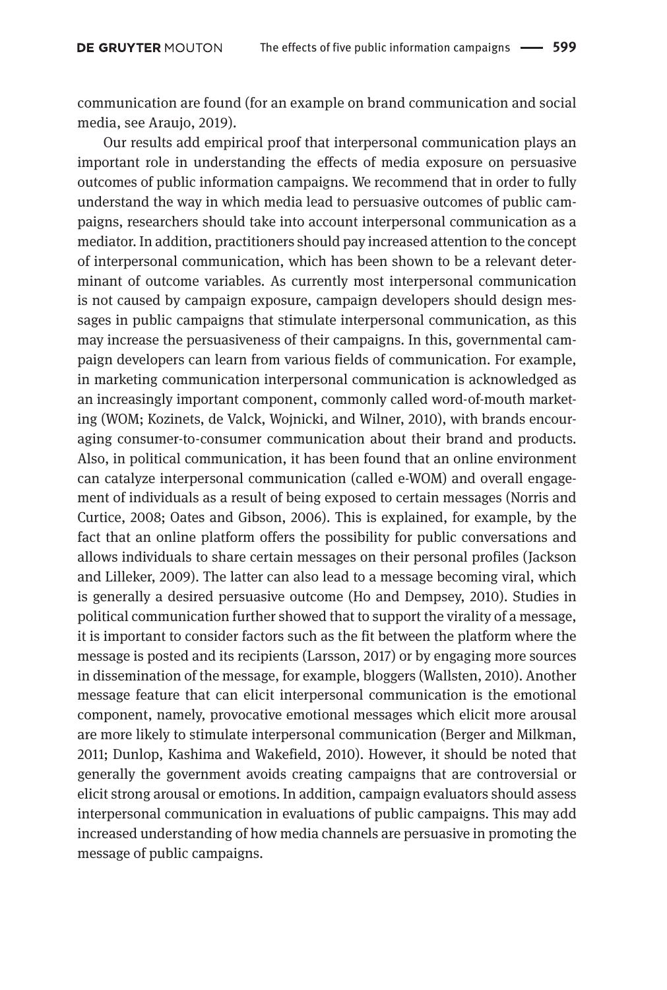communication are found (for an example on brand communication and social media, see Araujo, 2019).

Our results add empirical proof that interpersonal communication plays an important role in understanding the effects of media exposure on persuasive outcomes of public information campaigns. We recommend that in order to fully understand the way in which media lead to persuasive outcomes of public campaigns, researchers should take into account interpersonal communication as a mediator. In addition, practitioners should pay increased attention to the concept of interpersonal communication, which has been shown to be a relevant determinant of outcome variables. As currently most interpersonal communication is not caused by campaign exposure, campaign developers should design messages in public campaigns that stimulate interpersonal communication, as this may increase the persuasiveness of their campaigns. In this, governmental campaign developers can learn from various fields of communication. For example, in marketing communication interpersonal communication is acknowledged as an increasingly important component, commonly called word-of-mouth marketing (WOM; Kozinets, de Valck, Wojnicki, and Wilner, 2010), with brands encouraging consumer-to-consumer communication about their brand and products. Also, in political communication, it has been found that an online environment can catalyze interpersonal communication (called e-WOM) and overall engagement of individuals as a result of being exposed to certain messages (Norris and Curtice, 2008; Oates and Gibson, 2006). This is explained, for example, by the fact that an online platform offers the possibility for public conversations and allows individuals to share certain messages on their personal profiles (Jackson and Lilleker, 2009). The latter can also lead to a message becoming viral, which is generally a desired persuasive outcome (Ho and Dempsey, 2010). Studies in political communication further showed that to support the virality of a message, it is important to consider factors such as the fit between the platform where the message is posted and its recipients (Larsson, 2017) or by engaging more sources in dissemination of the message, for example, bloggers (Wallsten, 2010). Another message feature that can elicit interpersonal communication is the emotional component, namely, provocative emotional messages which elicit more arousal are more likely to stimulate interpersonal communication (Berger and Milkman, 2011; Dunlop, Kashima and Wakefield, 2010). However, it should be noted that generally the government avoids creating campaigns that are controversial or elicit strong arousal or emotions. In addition, campaign evaluators should assess interpersonal communication in evaluations of public campaigns. This may add increased understanding of how media channels are persuasive in promoting the message of public campaigns.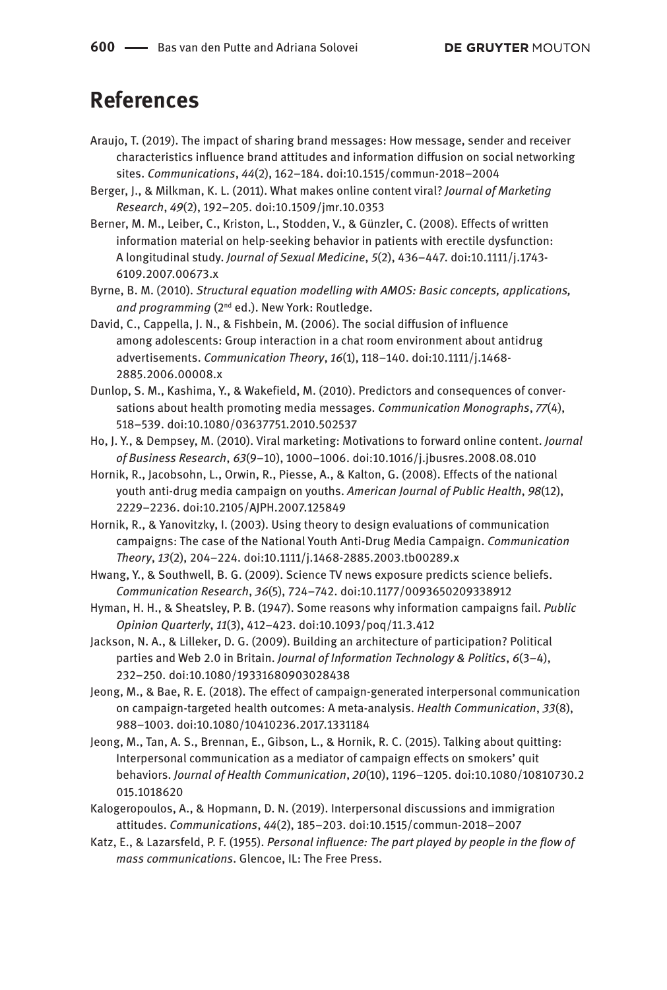### **References**

- Araujo, T. (2019). The impact of sharing brand messages: How message, sender and receiver characteristics influence brand attitudes and information diffusion on social networking sites. *Communications*, *44*(2), 162–184. doi:10.1515/commun-2018–2004
- Berger, J., & Milkman, K. L. (2011). What makes online content viral? *Journal of Marketing Research*, *49*(2), 192–205. doi:10.1509/jmr.10.0353
- Berner, M. M., Leiber, C., Kriston, L., Stodden, V., & Günzler, C. (2008). Effects of written information material on help-seeking behavior in patients with erectile dysfunction: A longitudinal study. *Journal of Sexual Medicine*, *5*(2), 436–447. doi:10.1111/j.1743- 6109.2007.00673.x
- Byrne, B. M. (2010). *Structural equation modelling with AMOS: Basic concepts, applications,*  and programming (2<sup>nd</sup> ed.). New York: Routledge.
- David, C., Cappella, J. N., & Fishbein, M. (2006). The social diffusion of influence among adolescents: Group interaction in a chat room environment about antidrug advertisements. *Communication Theory*, *16*(1), 118–140. doi:10.1111/j.1468- 2885.2006.00008.x
- Dunlop, S. M., Kashima, Y., & Wakefield, M. (2010). Predictors and consequences of conversations about health promoting media messages. *Communication Monographs*, *77*(4), 518–539. doi:10.1080/03637751.2010.502537
- Ho, J. Y., & Dempsey, M. (2010). Viral marketing: Motivations to forward online content. *Journal of Business Research*, *63*(9–10), 1000–1006. doi:10.1016/j.jbusres.2008.08.010
- Hornik, R., Jacobsohn, L., Orwin, R., Piesse, A., & Kalton, G. (2008). Effects of the national youth anti-drug media campaign on youths. *American Journal of Public Health*, *98*(12), 2229–2236. doi:10.2105/AJPH.2007.125849
- Hornik, R., & Yanovitzky, I. (2003). Using theory to design evaluations of communication campaigns: The case of the National Youth Anti-Drug Media Campaign. *Communication Theory*, *13*(2), 204–224. doi:10.1111/j.1468-2885.2003.tb00289.x
- Hwang, Y., & Southwell, B. G. (2009). Science TV news exposure predicts science beliefs. *Communication Research*, *36*(5), 724–742. doi:10.1177/0093650209338912
- Hyman, H. H., & Sheatsley, P. B. (1947). Some reasons why information campaigns fail. *Public Opinion Quarterly*, *11*(3), 412–423. doi:10.1093/poq/11.3.412
- Jackson, N. A., & Lilleker, D. G. (2009). Building an architecture of participation? Political parties and Web 2.0 in Britain. *Journal of Information Technology & Politics*, *6*(3–4), 232–250. doi:10.1080/19331680903028438
- Jeong, M., & Bae, R. E. (2018). The effect of campaign-generated interpersonal communication on campaign-targeted health outcomes: A meta-analysis. *Health Communication*, *33*(8), 988–1003. doi:10.1080/10410236.2017.1331184
- Jeong, M., Tan, A. S., Brennan, E., Gibson, L., & Hornik, R. C. (2015). Talking about quitting: Interpersonal communication as a mediator of campaign effects on smokers' quit behaviors. *Journal of Health Communication*, *20*(10), 1196–1205. doi:10.1080/10810730.2 015.1018620
- Kalogeropoulos, A., & Hopmann, D. N. (2019). Interpersonal discussions and immigration attitudes. *Communications*, *44*(2), 185–203. doi:10.1515/commun-2018–2007
- Katz, E., & Lazarsfeld, P. F. (1955). *Personal influence: The part played by people in the flow of mass communications*. Glencoe, IL: The Free Press.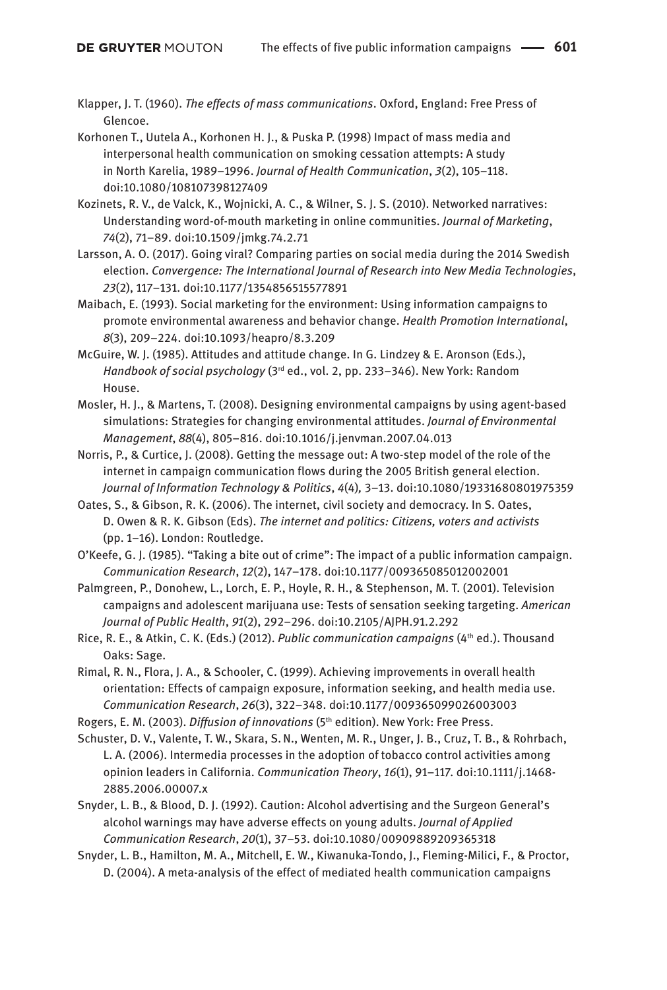Klapper, J. T. (1960). *The effects of mass communications*. Oxford, England: Free Press of Glencoe.

Korhonen T., Uutela A., Korhonen H. J., & Puska P. (1998) Impact of mass media and interpersonal health communication on smoking cessation attempts: A study in North Karelia, 1989–1996. *Journal of Health Communication*, *3*(2), 105–118. doi:10.1080/108107398127409

Kozinets, R. V., de Valck, K., Wojnicki, A. C., & Wilner, S. J. S. (2010). Networked narratives: Understanding word-of-mouth marketing in online communities. *Journal of Marketing*, *74*(2), 71–89. doi:10.1509/jmkg.74.2.71

Larsson, A. O. (2017). Going viral? Comparing parties on social media during the 2014 Swedish election. *Convergence: The International Journal of Research into New Media Technologies*, *23*(2), 117–131. doi:10.1177/1354856515577891

Maibach, E. (1993). Social marketing for the environment: Using information campaigns to promote environmental awareness and behavior change. *Health Promotion International*, *8*(3), 209–224. doi:10.1093/heapro/8.3.209

McGuire, W. J. (1985). Attitudes and attitude change. In G. Lindzey & E. Aronson (Eds.), *Handbook of social psychology* (3rd ed., vol. 2, pp. 233–346). New York: Random House.

Mosler, H. J., & Martens, T. (2008). Designing environmental campaigns by using agent-based simulations: Strategies for changing environmental attitudes. *Journal of Environmental Management*, *88*(4), 805–816. doi:10.1016/j.jenvman.2007.04.013

Norris, P., & Curtice, J. (2008). Getting the message out: A two-step model of the role of the internet in campaign communication flows during the 2005 British general election. *Journal of Information Technology & Politics*, *4*(4)*,* 3–13. doi:10.1080/19331680801975359

Oates, S., & Gibson, R. K. (2006). The internet, civil society and democracy. In S. Oates, D. Owen & R. K. Gibson (Eds). *The internet and politics: Citizens, voters and activists* (pp. 1–16). London: Routledge.

O'Keefe, G. J. (1985). "Taking a bite out of crime": The impact of a public information campaign. *Communication Research*, *12*(2), 147–178. doi:10.1177/009365085012002001

Palmgreen, P., Donohew, L., Lorch, E. P., Hoyle, R. H., & Stephenson, M. T. (2001). Television campaigns and adolescent marijuana use: Tests of sensation seeking targeting. *American Journal of Public Health*, *91*(2), 292–296. doi:10.2105/AJPH.91.2.292

Rice, R. E., & Atkin, C. K. (Eds.) (2012). *Public communication campaigns* (4th ed.). Thousand Oaks: Sage.

Rimal, R. N., Flora, J. A., & Schooler, C. (1999). Achieving improvements in overall health orientation: Effects of campaign exposure, information seeking, and health media use. *Communication Research*, *26*(3), 322–348. doi:10.1177/009365099026003003

Rogers, E. M. (2003). *Diffusion of innovations* (5th edition). New York: Free Press.

Schuster, D. V., Valente, T. W., Skara, S. N., Wenten, M. R., Unger, J. B., Cruz, T. B., & Rohrbach, L. A. (2006). Intermedia processes in the adoption of tobacco control activities among opinion leaders in California. *Communication Theory*, *16*(1), 91–117. doi:10.1111/j.1468- 2885.2006.00007.x

Snyder, L. B., & Blood, D. J. (1992). Caution: Alcohol advertising and the Surgeon General's alcohol warnings may have adverse effects on young adults. *Journal of Applied Communication Research*, *20*(1), 37–53. doi:10.1080/00909889209365318

Snyder, L. B., Hamilton, M. A., Mitchell, E. W., Kiwanuka-Tondo, J., Fleming-Milici, F., & Proctor, D. (2004). A meta-analysis of the effect of mediated health communication campaigns